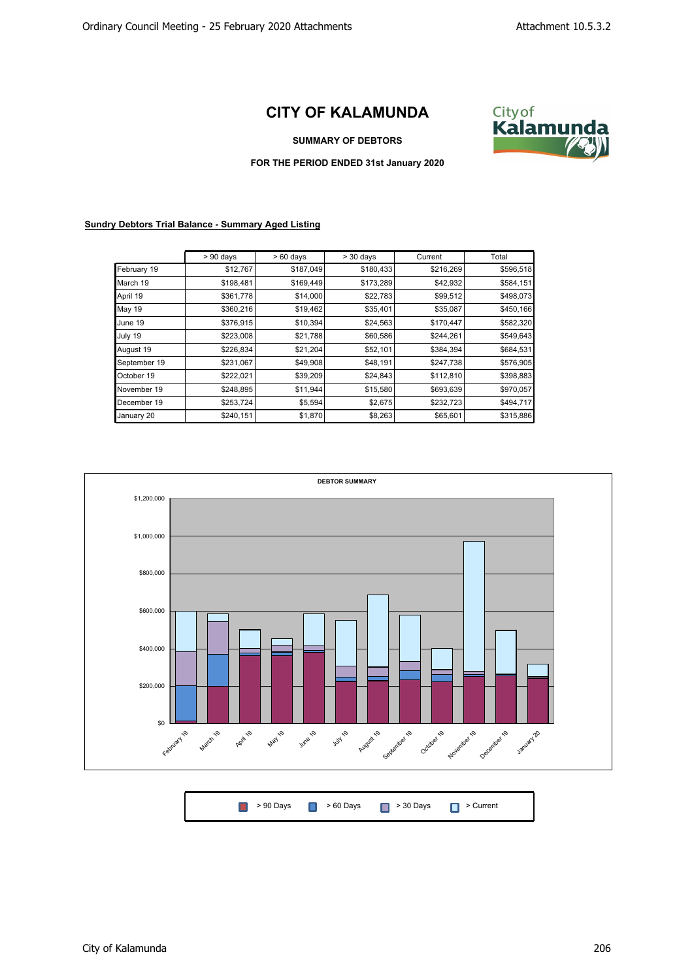## **CITY OF KALAMUNDA**



## **SUMMARY OF DEBTORS**

**FOR THE PERIOD ENDED 31st January 2020**

**Sundry Debtors Trial Balance - Summary Aged Listing**

|               | $> 90$ days | $>60$ days | $>$ 30 days | Current   | Total     |
|---------------|-------------|------------|-------------|-----------|-----------|
| February 19   | \$12,767    | \$187,049  | \$180,433   | \$216,269 | \$596,518 |
| March 19      | \$198,481   | \$169,449  | \$173,289   | \$42,932  | \$584,151 |
| April 19      | \$361,778   | \$14,000   | \$22,783    | \$99,512  | \$498,073 |
| <b>May 19</b> | \$360,216   | \$19,462   | \$35,401    | \$35,087  | \$450,166 |
| June 19       | \$376,915   | \$10,394   | \$24,563    | \$170,447 | \$582,320 |
| July 19       | \$223,008   | \$21,788   | \$60,586    | \$244,261 | \$549,643 |
| August 19     | \$226,834   | \$21,204   | \$52,101    | \$384,394 | \$684,531 |
| September 19  | \$231,067   | \$49,908   | \$48,191    | \$247,738 | \$576,905 |
| October 19    | \$222,021   | \$39,209   | \$24,843    | \$112,810 | \$398,883 |
| November 19   | \$248,895   | \$11,944   | \$15,580    | \$693,639 | \$970,057 |
| December 19   | \$253,724   | \$5,594    | \$2,675     | \$232,723 | \$494,717 |
| January 20    | \$240,151   | \$1,870    | \$8,263     | \$65,601  | \$315,886 |



| ■ > 90 Days ■ > 60 Days ■ > 30 Days ■ > Current |  |
|-------------------------------------------------|--|
|-------------------------------------------------|--|